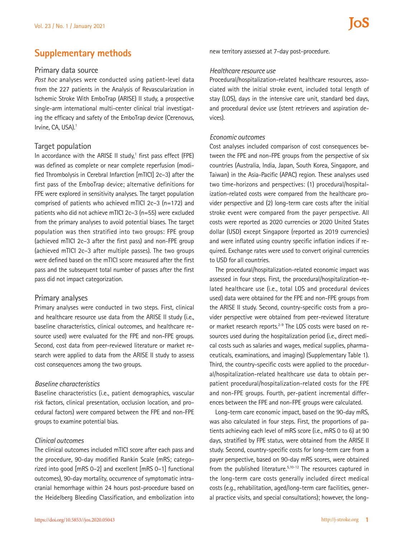# **Supplementary methods**

## **Primary data source**

*Post hoc* analyses were conducted using patient-level data from the 227 patients in the Analysis of Revascularization in Ischemic Stroke With EmboTrap (ARISE) II study, a prospective single-arm international multi-center clinical trial investigating the efficacy and safety of the EmboTrap device (Cerenovus, Irvine, CA, USA).<sup>1</sup>

### **Target population**

In accordance with the ARISE II study,<sup>1</sup> first pass effect (FPE) was defined as complete or near complete reperfusion (modified Thrombolysis in Cerebral Infarction [mTICI] 2c–3) after the first pass of the EmboTrap device; alternative definitions for FPE were explored in sensitivity analyses. The target population comprised of patients who achieved mTICI 2c–3 (n=172) and patients who did not achieve mTICI 2c–3 (n=55) were excluded from the primary analyses to avoid potential biases. The target population was then stratified into two groups: FPE group (achieved mTICI 2c–3 after the first pass) and non-FPE group (achieved mTICI 2c–3 after multiple passes). The two groups were defined based on the mTICI score measured after the first pass and the subsequent total number of passes after the first pass did not impact categorization.

### **Primary analyses**

Primary analyses were conducted in two steps. First, clinical and healthcare resource use data from the ARISE II study (i.e., baseline characteristics, clinical outcomes, and healthcare resource used) were evaluated for the FPE and non-FPE groups. Second, cost data from peer-reviewed literature or market research were applied to data from the ARISE II study to assess cost consequences among the two groups.

#### *Baseline characteristics*

Baseline characteristics (i.e., patient demographics, vascular risk factors, clinical presentation, occlusion location, and procedural factors) were compared between the FPE and non-FPE groups to examine potential bias.

#### *Clinical outcomes*

The clinical outcomes included mTICI score after each pass and the procedure, 90-day modified Rankin Scale (mRS; categorized into good [mRS 0–2] and excellent [mRS 0–1] functional outcomes), 90-day mortality, occurrence of symptomatic intracranial hemorrhage within 24 hours post-procedure based on the Heidelberg Bleeding Classification, and embolization into

new territory assessed at 7-day post-procedure.

### *Healthcare resource use*

Procedural/hospitalization-related healthcare resources, associated with the initial stroke event, included total length of stay (LOS), days in the intensive care unit, standard bed days, and procedural device use (stent retrievers and aspiration devices).

### *Economic outcomes*

Cost analyses included comparison of cost consequences between the FPE and non-FPE groups from the perspective of six countries (Australia, India, Japan, South Korea, Singapore, and Taiwan) in the Asia-Pacific (APAC) region. These analyses used two time-horizons and perspectives: (1) procedural/hospitalization-related costs were compared from the healthcare provider perspective and (2) long-term care costs after the initial stroke event were compared from the payer perspective. All costs were reported as 2020 currencies or 2020 United States dollar (USD) except Singapore (reported as 2019 currencies) and were inflated using country specific inflation indices if required. Exchange rates were used to convert original currencies to USD for all countries.

The procedural/hospitalization-related economic impact was assessed in four steps. First, the procedural/hospitalization-related healthcare use (i.e., total LOS and procedural devices used) data were obtained for the FPE and non-FPE groups from the ARISE II study. Second, country-specific costs from a provider perspective were obtained from peer-reviewed literature or market research reports.<sup>2-9</sup> The LOS costs were based on resources used during the hospitalization period (i.e., direct medical costs such as salaries and wages, medical supplies, pharmaceuticals, examinations, and imaging) (Supplementary Table 1). Third, the country-specific costs were applied to the procedural/hospitalization-related healthcare use data to obtain perpatient procedural/hospitalization-related costs for the FPE and non-FPE groups. Fourth, per-patient incremental differences between the FPE and non-FPE groups were calculated.

Long-term care economic impact, based on the 90-day mRS, was also calculated in four steps. First, the proportions of patients achieving each level of mRS score (i.e., mRS 0 to 6) at 90 days, stratified by FPE status, were obtained from the ARISE II study. Second, country-specific costs for long-term care from a payer perspective, based on 90-day mRS scores, were obtained from the published literature.<sup>5,10-12</sup> The resources captured in the long-term care costs generally included direct medical costs (e.g., rehabilitation, aged/long-term care facilities, general practice visits, and special consultations); however, the long-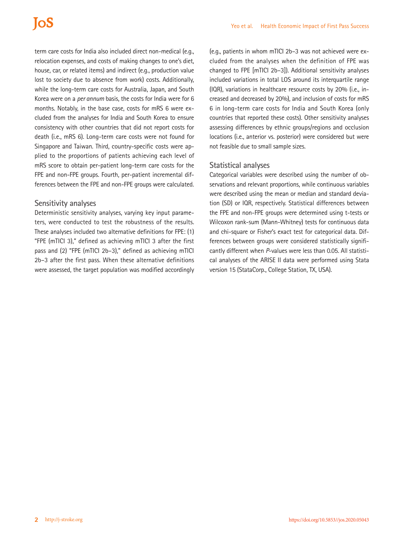# **IoS**

term care costs for India also included direct non-medical (e.g., relocation expenses, and costs of making changes to one's diet, house, car, or related items) and indirect (e.g., production value lost to society due to absence from work) costs. Additionally, while the long-term care costs for Australia, Japan, and South Korea were on a *per annum* basis, the costs for India were for 6 months. Notably, in the base case, costs for mRS 6 were excluded from the analyses for India and South Korea to ensure consistency with other countries that did not report costs for death (i.e., mRS 6). Long-term care costs were not found for Singapore and Taiwan. Third, country-specific costs were applied to the proportions of patients achieving each level of mRS score to obtain per-patient long-term care costs for the FPE and non-FPE groups. Fourth, per-patient incremental differences between the FPE and non-FPE groups were calculated.

# **Sensitivity analyses**

Deterministic sensitivity analyses, varying key input parameters, were conducted to test the robustness of the results. These analyses included two alternative definitions for FPE: (1) "FPE (mTICI 3)," defined as achieving mTICI 3 after the first pass and (2) "FPE (mTICI 2b–3)," defined as achieving mTICI 2b–3 after the first pass. When these alternative definitions were assessed, the target population was modified accordingly

(e.g., patients in whom mTICI 2b–3 was not achieved were excluded from the analyses when the definition of FPE was changed to FPE [mTICI 2b–3]). Additional sensitivity analyses included variations in total LOS around its interquartile range (IQR), variations in healthcare resource costs by 20% (i.e., increased and decreased by 20%), and inclusion of costs for mRS 6 in long-term care costs for India and South Korea (only countries that reported these costs). Other sensitivity analyses assessing differences by ethnic groups/regions and occlusion locations (i.e., anterior vs. posterior) were considered but were not feasible due to small sample sizes.

# **Statistical analyses**

Categorical variables were described using the number of observations and relevant proportions, while continuous variables were described using the mean or median and standard deviation (SD) or IQR, respectively. Statistical differences between the FPE and non-FPE groups were determined using t-tests or Wilcoxon rank-sum (Mann-Whitney) tests for continuous data and chi-square or Fisher's exact test for categorical data. Differences between groups were considered statistically significantly different when *P*-values were less than 0.05. All statistical analyses of the ARISE II data were performed using Stata version 15 (StataCorp., College Station, TX, USA).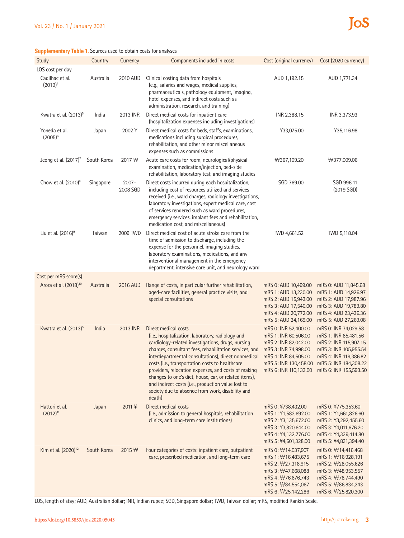## **Supplementary Table 1.** Sources used to obtain costs for analyses

| Study                             | Country     | Currency             | Components included in costs                                                                                                                                                                                                                                                                                                                                                                                                                                                                                                           | Cost (original currency)                                                                                                                                                                                           | Cost (2020 currency)                                                                                                                                                         |
|-----------------------------------|-------------|----------------------|----------------------------------------------------------------------------------------------------------------------------------------------------------------------------------------------------------------------------------------------------------------------------------------------------------------------------------------------------------------------------------------------------------------------------------------------------------------------------------------------------------------------------------------|--------------------------------------------------------------------------------------------------------------------------------------------------------------------------------------------------------------------|------------------------------------------------------------------------------------------------------------------------------------------------------------------------------|
| LOS cost per day                  |             |                      |                                                                                                                                                                                                                                                                                                                                                                                                                                                                                                                                        |                                                                                                                                                                                                                    |                                                                                                                                                                              |
| Cadilhac et al.<br>$(2019)^4$     | Australia   | 2010 AUD             | Clinical costing data from hospitals<br>(e.g., salaries and wages, medical supplies,<br>pharmaceuticals, pathology equipment, imaging,<br>hotel expenses, and indirect costs such as<br>administration, research, and training)                                                                                                                                                                                                                                                                                                        | AUD 1,192.15                                                                                                                                                                                                       | AUD 1,771.34                                                                                                                                                                 |
| Kwatra et al. (2013) <sup>5</sup> | India       | 2013 INR             | Direct medical costs for inpatient care<br>(hospitalization expenses including investigations)                                                                                                                                                                                                                                                                                                                                                                                                                                         | INR 2,388.15                                                                                                                                                                                                       | INR 3,373.93                                                                                                                                                                 |
| Yoneda et al.<br>$(2005)^6$       | Japan       | 2002¥                | Direct medical costs for beds, staffs, examinations,<br>medications including surgical procedures,<br>rehabilitation, and other minor miscellaneous<br>expenses such as commissions                                                                                                                                                                                                                                                                                                                                                    | ¥33,075.00                                                                                                                                                                                                         | ¥35,116.98                                                                                                                                                                   |
| Jeong et al. $(2017)^7$           | South Korea | 2017 ₩               | Acute care costs for room, neurological/physical<br>examination, medication/injection, bed-side<br>rehabilitation, laboratory test, and imaging studies                                                                                                                                                                                                                                                                                                                                                                                | ₩367,109.20                                                                                                                                                                                                        | ₩377,009.06                                                                                                                                                                  |
| Chow et al. $(2010)^8$            | Singapore   | $2007 -$<br>2008 SGD | Direct costs incurred during each hospitalization,<br>including cost of resources utilized and services<br>received (i.e., ward charges, radiology investigations,<br>laboratory investigations, expert medical care, cost<br>of services rendered such as ward procedures,<br>emergency services, implant fees and rehabilitation,<br>medication cost, and miscellaneous)                                                                                                                                                             | SGD 769.00                                                                                                                                                                                                         | SGD 996.11<br>(2019 SGD)                                                                                                                                                     |
| Liu et al. (2016) <sup>9</sup>    | Taiwan      | 2009 TWD             | Direct medical cost of acute stroke care from the<br>time of admission to discharge, including the<br>expense for the personnel, imaging studies,<br>laboratory examinations, medications, and any<br>interventional management in the emergency<br>department, intensive care unit, and neurology ward                                                                                                                                                                                                                                | TWD 4,661.52                                                                                                                                                                                                       | TWD 5,118.04                                                                                                                                                                 |
| Cost per mRS score(s)             |             |                      |                                                                                                                                                                                                                                                                                                                                                                                                                                                                                                                                        |                                                                                                                                                                                                                    |                                                                                                                                                                              |
| Arora et al. (2018) <sup>10</sup> | Australia   | 2016 AUD             | Range of costs, in particular further rehabilitation,<br>aged-care facilities, general practice visits, and<br>special consultations                                                                                                                                                                                                                                                                                                                                                                                                   | mRS 0: AUD 10,499.00<br>mRS 1: AUD 13,230.00<br>mRS 2: AUD 15,943.00<br>mRS 3: AUD 17,540.00<br>mRS 4: AUD 20,772.00<br>mRS 5: AUD 24,169.00                                                                       | mRS 0: AUD 11,845.68<br>mRS 1: AUD 14,926.97<br>mRS 2: AUD 17,987.96<br>mRS 3: AUD 19,789.80<br>mRS 4: AUD 23,436.36<br>mRS 5: AUD 27,269.08                                 |
| Kwatra et al. (2013) <sup>5</sup> | India       | 2013 INR             | Direct medical costs<br>(i.e., hospitalization, laboratory, radiology and<br>cardiology-related investigations, drugs, nursing<br>charges, consultant fees, rehabilitation services, and<br>interdepartmental consultations), direct nonmedical<br>costs (i.e., transportation costs to healthcare<br>providers, relocation expenses, and costs of making<br>changes to one's diet, house, car, or related items),<br>and indirect costs (i.e., production value lost to<br>society due to absence from work, disability and<br>death) | mRS 0: INR 52,400.00<br>mRS 1: INR 60,506.00<br>mRS 2: INR 82,042.00<br>mRS 3: INR 74,998.00<br>mRS 4: INR 84,505.00<br>mRS 5: INR 130,458.00 mRS 5: INR 184,308.22<br>mRS 6: INR 110,133.00 mRS 6: INR 155,593.50 | mRS 0: INR 74,029.58<br>mRS 1: INR 85,481.56<br>mRS 2: INR 115,907.15<br>mRS 3: INR 105,955.54<br>mRS 4: INR 119,386.82                                                      |
| Hattori et al.<br>$(2012)^{11}$   | Japan       | 2011 ¥               | Direct medical costs<br>(i.e., admission to general hospitals, rehabilitation<br>clinics, and long-term care institutions)                                                                                                                                                                                                                                                                                                                                                                                                             | mRS 0: ¥738,432.00<br>mRS 1: ¥1,582,692.00<br>mRS 2: ¥3,135,672.00<br>mRS 3: ¥3,820,644.00<br>mRS 4: ¥4,132,776.00<br>mRS 5: ¥4,601,328.00                                                                         | mRS 0: ¥775,353.60<br>mRS 1:¥1,661,826.60<br>mRS 2: ¥3,292,455.60<br>mRS 3: ¥4,011,676.20<br>mRS 4: ¥4,339,414.80<br>mRS 5: ¥4,831,394.40                                    |
| Kim et al. (2020) <sup>12</sup>   | South Korea | $2015 \,\mathrm{W}$  | Four categories of costs: inpatient care, outpatient<br>care, prescribed medication, and long-term care                                                                                                                                                                                                                                                                                                                                                                                                                                | mRS 0: \times 14,037,907<br>mRS 1: \\$16,483,675<br>mRS 2: \text{318,915}<br>mRS 3: \#47,668,088<br>mRS 4: \/76,676,743<br>mRS 5: \\$84,554,067<br>mRS 6: ₩25,142,286                                              | mRS 0: \times14,416,468<br>mRS 1: \times 16,928,191<br>mRS 2: \28,055,626<br>mRS 3: ₩48,953,557<br>mRS 4: \tradegram 744,490<br>mRS 5: \\$86,834,243<br>mRS 6: \\$25,820,300 |

LOS, length of stay; AUD, Australian dollar; INR, Indian rupee; SGD, Singapore dollar; TWD, Taiwan dollar; mRS, modified Rankin Scale.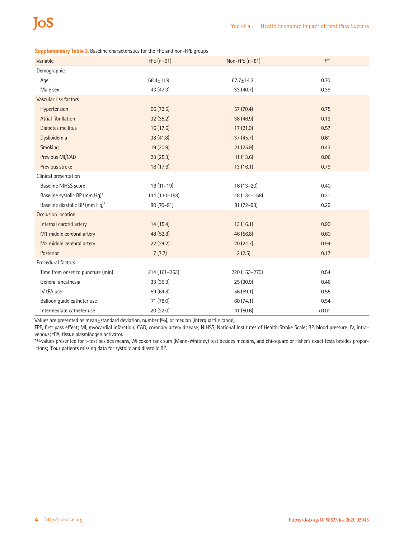**Supplementary Table 2.** Baseline characteristics for the FPE and non-FPE groups

| Variable                                   | $FPE(n=91)$   | Non-FPE $(n=81)$ | $P^*$  |
|--------------------------------------------|---------------|------------------|--------|
| Demographic                                |               |                  |        |
| Age                                        | $68.4 + 11.9$ | $67.7 \pm 14.3$  | 0.70   |
| Male sex                                   | 43 (47.3)     | 33(40.7)         | 0.39   |
| Vascular risk factors                      |               |                  |        |
| Hypertension                               | 66 (72.5)     | 57 (70.4)        | 0.75   |
| Atrial fibrillation                        | 32 (35.2)     | 38 (46.9)        | 0.12   |
| Diabetes mellitus                          | 16 (17.6)     | 17(21.0)         | 0.57   |
| Dyslipidemia                               | 38 (41.8)     | 37(45.7)         | 0.61   |
| Smoking                                    | 19 (20.9)     | 21(25.9)         | 0.43   |
| Previous MI/CAD                            | 23(25.3)      | 11(13.6)         | 0.06   |
| Previous stroke                            | 16 (17.6)     | 13(16.1)         | 0.79   |
| Clinical presentation                      |               |                  |        |
| <b>Baseline NIHSS score</b>                | $16(11-19)$   | $16(13-20)$      | 0.40   |
| Baseline systolic BP (mm Hg) <sup>+</sup>  | 144 (130-158) | 148 (134-158)    | 0.31   |
| Baseline diastolic BP (mm Hg) <sup>+</sup> | 80 (70-91)    | 81 (72-93)       | 0.29   |
| Occlusion location                         |               |                  |        |
| Internal carotid artery                    | 14(15.4)      | 13(16.1)         | 0.90   |
| M1 middle cerebral artery                  | 48 (52.8)     | 46 (56.8)        | 0.60   |
| M2 middle cerebral artery                  | 22 (24.2)     | 20(24.7)         | 0.94   |
| Posterior                                  | 7(7.7)        | 2(2.5)           | 0.17   |
| Procedural factors                         |               |                  |        |
| Time from onset to puncture (min)          | 214 (161-263) | 220 (153-270)    | 0.54   |
| General anesthesia                         | 33 (36.3)     | 25 (30.9)        | 0.46   |
| IV tPA use                                 | 59 (64.8)     | 56 (69.1)        | 0.55   |
| Balloon guide catheter use                 | 71 (78.0)     | 60 (74.1)        | 0.54   |
| Intermediate catheter use                  | 20 (22.0)     | 41 (50.6)        | < 0.01 |
|                                            |               |                  |        |

Values are presented as mean±standard deviation, number (%), or median (interquartile range).

FPE, first pass effect; MI, myocardial infarction; CAD, coronary artery disease; NIHSS, National Institutes of Health Stroke Scale; BP, blood pressure; IV, intravenous; tPA, tissue plasminogen activator.

\**P*-values presented for t-test besides means, Wilcoxon rank sum (Mann-Whitney) test besides medians, and chi-square or Fisher's exact tests besides proportions; † Four patients missing data for systolic and diastolic BP.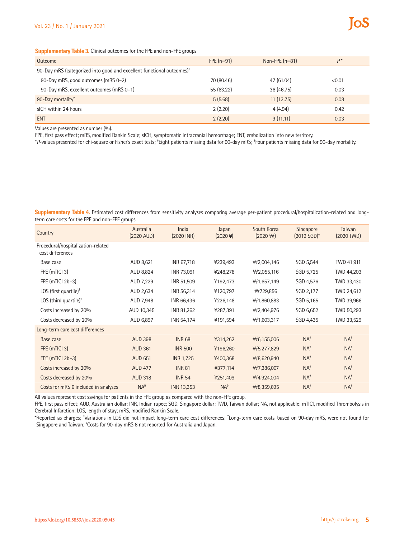### **Supplementary Table 3.** Clinical outcomes for the FPE and non-FPE groups

| Outcome                                                                           | $FPE(n=91)$ | Non-FPE $(n=81)$ | $D*$   |  |  |
|-----------------------------------------------------------------------------------|-------------|------------------|--------|--|--|
| 90-Day mRS (categorized into good and excellent functional outcomes) <sup>+</sup> |             |                  |        |  |  |
| 90-Day mRS, good outcomes (mRS 0-2)                                               | 70 (80.46)  | 47 (61.04)       | < 0.01 |  |  |
| 90-Day mRS, excellent outcomes (mRS 0-1)                                          | 55 (63.22)  | 36 (46.75)       | 0.03   |  |  |
| 90-Day mortality <sup>#</sup>                                                     | 5(5.68)     | 11(13.75)        | 0.08   |  |  |
| sICH within 24 hours                                                              | 2(2.20)     | 4(4.94)          | 0.42   |  |  |
| <b>ENT</b>                                                                        | 2(2.20)     | 9(11.11)         | 0.03   |  |  |

Values are presented as number (%).

FPE, first pass effect; mRS, modified Rankin Scale; sICH, symptomatic intracranial hemorrhage; ENT, embolization into new territory.

\**P*-values presented for chi-square or Fisher's exact tests; † Eight patients missing data for 90-day mRS; ‡ Four patients missing data for 90-day mortality.

**Supplementary Table 4.** Estimated cost differences from sensitivity analyses comparing average per-patient procedural/hospitalization-related and longterm care costs for the FPE and non-FPE groups

| Country                                                | Australia<br>(2020 AUD) | India<br>$(2020 \text{ INR})$ | Japan<br>$(2020 \frac{1}{2})$ | South Korea<br>$(2020 \text{ W})$ | Singapore<br>$(2019 SGD)*$ | Taiwan<br>$(2020)$ TWD) |
|--------------------------------------------------------|-------------------------|-------------------------------|-------------------------------|-----------------------------------|----------------------------|-------------------------|
| Procedural/hospitalization-related<br>cost differences |                         |                               |                               |                                   |                            |                         |
| Base case                                              | AUD 8,621               | INR 67,718                    | ¥239,493                      | $\forall 2,004,146$               | SGD 5,544                  | TWD 41,911              |
| FPE (mTICI 3)                                          | AUD 8,824               | INR 73,091                    | ¥248,278                      | $\forall 2,055,116$               | SGD 5,725                  | TWD 44,203              |
| FPE $(mTICI 2b-3)$                                     | AUD 7,229               | INR 51,509                    | ¥192,473                      | $\forall$ 1,657,149               | SGD 4,576                  | TWD 33,430              |
| LOS (first quartile) <sup>+</sup>                      | AUD 2,634               | INR 56,314                    | ¥120,797                      | ₩729,856                          | SGD 2,177                  | TWD 24,612              |
| LOS (third quartile) <sup>+</sup>                      | AUD 7,948               | INR 66,436                    | ¥226,148                      | ₩1,860,883                        | SGD 5,165                  | TWD 39,966              |
| Costs increased by 20%                                 | AUD 10,345              | INR 81,262                    | ¥287,391                      | ₩2,404,976                        | SGD 6,652                  | TWD 50,293              |
| Costs decreased by 20%                                 | AUD 6,897               | INR 54,174                    | ¥191,594                      | $\forall$ 1,603,317               | SGD 4,435                  | TWD 33,529              |
| Long-term care cost differences                        |                         |                               |                               |                                   |                            |                         |
| Base case                                              | <b>AUD 398</b>          | <b>INR 68</b>                 | ¥314,262                      | ₩6,155,006                        | $NA^*$                     | $NA^*$                  |
| FPE (mTICI 3)                                          | <b>AUD 361</b>          | <b>INR 500</b>                | ¥196,260                      | ₩5,277,829                        | $NA^*$                     | $NA^*$                  |
| FPE $(mTICI 2b-3)$                                     | <b>AUD 651</b>          | <b>INR 1,725</b>              | ¥400,368                      | ₩8,620,940                        | $NA^*$                     | $NA^*$                  |
| Costs increased by 20%                                 | <b>AUD 477</b>          | <b>INR 81</b>                 | ¥377,114                      | ₩7,386,007                        | $NA^*$                     | $NA^*$                  |
| Costs decreased by 20%                                 | <b>AUD 318</b>          | <b>INR 54</b>                 | ¥251,409                      | ₩4,924,004                        | $NA^*$                     | $NA^*$                  |
| Costs for mRS 6 included in analyses                   | NA <sup>s</sup>         | <b>INR 13,353</b>             | $NA^s$                        | ₩8,359,695                        | $NA^*$                     | $NA^*$                  |

All values represent cost savings for patients in the FPE group as compared with the non-FPE group.

FPE, first pass effect; AUD, Australian dollar; INR, Indian rupee; SGD, Singapore dollar; TWD, Taiwan dollar; NA, not applicable; mTICI, modified Thrombolysis in Cerebral Infarction; LOS, length of stay; mRS, modified Rankin Scale.

\*Reported as charges; † Variations in LOS did not impact long-term care cost differences; ‡ Long-term care costs, based on 90-day mRS, were not found for Singapore and Taiwan; <sup>s</sup>Costs for 90-day mRS 6 not reported for Australia and Japan.